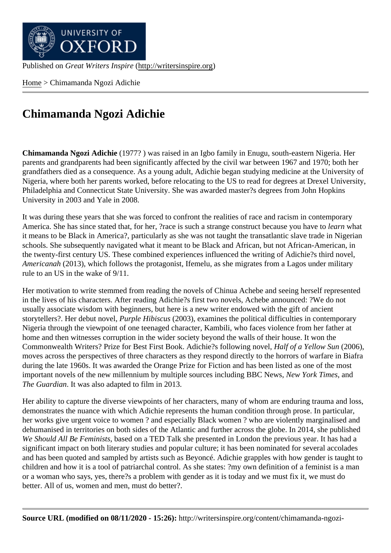Home > Chimamanda Ngozi Adichie

## [Chim](http://writersinspire.org/)amanda Ngozi Adichie

Chimamanda Ngozi Adichie (1977?) was raised in an Igbo family in Enugu, south-eastern Nigeria. Her parents and grandparents had been significantly affected by the civil war between 1967 and 1970; both her grandfathers died as a consequence. As a young adult, Adichie began studying medicine at the University of Nigeria, where both her parents worked, before relocating to the US to read for degrees at Drexel University, Philadelphia and Connecticut State University. She was awarded master?s degrees from John Hopkins University in 2003 and Yale in 2008.

It was during these years that she was forced to confront the realities of race and racism in contemporary America. She has since stated that, for her, ?race is such a strange construct because ylearly what it means to be Black in America?, particularly as she was not taught the transatlantic slave trade in Nigerian schools. She subsequently navigated what it meant to be Black and African, but not African-American, in the twenty-first century US. These combined experiences influenced the writing of Adichie?s third novel, Americanah (2013), which follows the protagonist, Ifemelu, as she migrates from a Lagos under military rule to an US in the wake of 9/11.

Her motivation to write stemmed from reading the novels of Chinua Achebe and seeing herself represented in the lives of his characters. After reading Adichie?s first two novels, Achebe announced: ?We do not usually associate wisdom with beginners, but here is a new writer endowed with the gift of ancient storytellers?. Her debut novelurple Hibiscus (2003), examines the political difficulties in contemporary Nigeria through the viewpoint of one teenaged character, Kambili, who faces violence from her father at home and then witnesses corruption in the wider society beyond the walls of their house. It won the Commonwealth Writers? Prize for Best First Book. Adichie?s following notat for a Yellow Sun (2006), moves across the perspectives of three characters as they respond directly to the horrors of warfare in Biafra during the late 1960s. It was awarded the Orange Prize for Fiction and has been listed as one of the most important novels of the new millennium by multiple sources including BBC News, York Timesand The Guardian It was also adapted to film in 2013.

Her ability to capture the diverse viewpoints of her characters, many of whom are enduring trauma and loss, demonstrates the nuance with which Adichie represents the human condition through prose. In particular, her works give urgent voice to women ? and especially Black women ? who are violently marginalised and dehumanised in territories on both sides of the Atlantic and further across the globe. In 2014, she published We Should All Be Feminists ased on a TED Talk she presented in London the previous year. It has had a significant impact on both literary studies and popular culture; it has been nominated for several accolades and has been quoted and sampled by artists such as Beyoncé. Adichie grapples with how gender is taught to children and how it is a tool of patriarchal control. As she states: ?my own definition of a feminist is a man or a woman who says, yes, there?s a problem with gender as it is today and we must fix it, we must do better. All of us, women and men, must do better?.